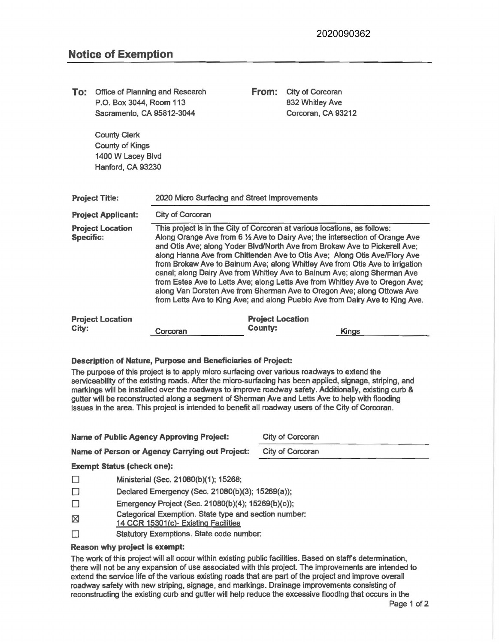| To:                                                                                                                                                                                                                                                                                                                                                                                                                                                                                                                                                                                              | Office of Planning and Research<br>P.O. Box 3044, Room 113<br>Sacramento, CA 95812-3044 |                                                                                               |                                                                                                                                                                                                                                                                                                                                                                                                                                                                                                                                                                                                                                                                                                                            | From:                   | City of Corcoran<br>832 Whitley Ave<br>Corcoran, CA 93212                                                                                                                                                                                                                                                                                                                                                                                                                                                                               |  |  |  |  |
|--------------------------------------------------------------------------------------------------------------------------------------------------------------------------------------------------------------------------------------------------------------------------------------------------------------------------------------------------------------------------------------------------------------------------------------------------------------------------------------------------------------------------------------------------------------------------------------------------|-----------------------------------------------------------------------------------------|-----------------------------------------------------------------------------------------------|----------------------------------------------------------------------------------------------------------------------------------------------------------------------------------------------------------------------------------------------------------------------------------------------------------------------------------------------------------------------------------------------------------------------------------------------------------------------------------------------------------------------------------------------------------------------------------------------------------------------------------------------------------------------------------------------------------------------------|-------------------------|-----------------------------------------------------------------------------------------------------------------------------------------------------------------------------------------------------------------------------------------------------------------------------------------------------------------------------------------------------------------------------------------------------------------------------------------------------------------------------------------------------------------------------------------|--|--|--|--|
|                                                                                                                                                                                                                                                                                                                                                                                                                                                                                                                                                                                                  | <b>County Clerk</b><br><b>County of Kings</b><br>1400 W Lacey Blvd<br>Hanford, CA 93230 |                                                                                               |                                                                                                                                                                                                                                                                                                                                                                                                                                                                                                                                                                                                                                                                                                                            |                         |                                                                                                                                                                                                                                                                                                                                                                                                                                                                                                                                         |  |  |  |  |
| <b>Project Title:</b>                                                                                                                                                                                                                                                                                                                                                                                                                                                                                                                                                                            |                                                                                         |                                                                                               | 2020 Micro Surfacing and Street Improvements                                                                                                                                                                                                                                                                                                                                                                                                                                                                                                                                                                                                                                                                               |                         |                                                                                                                                                                                                                                                                                                                                                                                                                                                                                                                                         |  |  |  |  |
| <b>Project Applicant:</b>                                                                                                                                                                                                                                                                                                                                                                                                                                                                                                                                                                        |                                                                                         |                                                                                               | City of Corcoran                                                                                                                                                                                                                                                                                                                                                                                                                                                                                                                                                                                                                                                                                                           |                         |                                                                                                                                                                                                                                                                                                                                                                                                                                                                                                                                         |  |  |  |  |
| <b>Project Location</b><br><b>Specific:</b>                                                                                                                                                                                                                                                                                                                                                                                                                                                                                                                                                      |                                                                                         |                                                                                               | This project is in the City of Corcoran at various locations, as follows:<br>Along Orange Ave from 6 1/2 Ave to Dairy Ave; the intersection of Orange Ave<br>and Otis Ave; along Yoder Blvd/North Ave from Brokaw Ave to Pickerell Ave;<br>along Hanna Ave from Chittenden Ave to Otis Ave; Along Otis Ave/Flory Ave<br>from Brokaw Ave to Bainum Ave; along Whitley Ave from Otis Ave to irrigation<br>canal; along Dairy Ave from Whitley Ave to Bainum Ave; along Sherman Ave<br>from Estes Ave to Letts Ave; along Letts Ave from Whitley Ave to Oregon Ave;<br>along Van Dorsten Ave from Sherman Ave to Oregon Ave; along Ottowa Ave<br>from Letts Ave to King Ave; and along Pueblo Ave from Dairy Ave to King Ave. |                         |                                                                                                                                                                                                                                                                                                                                                                                                                                                                                                                                         |  |  |  |  |
|                                                                                                                                                                                                                                                                                                                                                                                                                                                                                                                                                                                                  | <b>Project Location</b>                                                                 |                                                                                               |                                                                                                                                                                                                                                                                                                                                                                                                                                                                                                                                                                                                                                                                                                                            | <b>Project Location</b> |                                                                                                                                                                                                                                                                                                                                                                                                                                                                                                                                         |  |  |  |  |
| City:                                                                                                                                                                                                                                                                                                                                                                                                                                                                                                                                                                                            |                                                                                         |                                                                                               | Corcoran                                                                                                                                                                                                                                                                                                                                                                                                                                                                                                                                                                                                                                                                                                                   | <b>County:</b>          | <b>Kings</b>                                                                                                                                                                                                                                                                                                                                                                                                                                                                                                                            |  |  |  |  |
| <b>Description of Nature, Purpose and Beneficiaries of Project:</b><br>The purpose of this project is to apply micro surfacing over various roadways to extend the<br>serviceability of the existing roads. After the micro-surfacing has been applied, signage, striping, and<br>markings will be installed over the roadways to improve roadway safety. Additionally, existing curb &<br>gutter will be reconstructed along a segment of Sherman Ave and Letts Ave to help with flooding<br>issues in the area. This project is intended to benefit all roadway users of the City of Corcoran. |                                                                                         |                                                                                               |                                                                                                                                                                                                                                                                                                                                                                                                                                                                                                                                                                                                                                                                                                                            |                         |                                                                                                                                                                                                                                                                                                                                                                                                                                                                                                                                         |  |  |  |  |
| <b>Name of Public Agency Approving Project:</b>                                                                                                                                                                                                                                                                                                                                                                                                                                                                                                                                                  |                                                                                         |                                                                                               |                                                                                                                                                                                                                                                                                                                                                                                                                                                                                                                                                                                                                                                                                                                            |                         | City of Corcoran                                                                                                                                                                                                                                                                                                                                                                                                                                                                                                                        |  |  |  |  |
|                                                                                                                                                                                                                                                                                                                                                                                                                                                                                                                                                                                                  |                                                                                         |                                                                                               | <b>Name of Person or Agency Carrying out Project:</b>                                                                                                                                                                                                                                                                                                                                                                                                                                                                                                                                                                                                                                                                      |                         | City of Corcoran                                                                                                                                                                                                                                                                                                                                                                                                                                                                                                                        |  |  |  |  |
|                                                                                                                                                                                                                                                                                                                                                                                                                                                                                                                                                                                                  | <b>Exempt Status (check one):</b>                                                       |                                                                                               |                                                                                                                                                                                                                                                                                                                                                                                                                                                                                                                                                                                                                                                                                                                            |                         |                                                                                                                                                                                                                                                                                                                                                                                                                                                                                                                                         |  |  |  |  |
| □                                                                                                                                                                                                                                                                                                                                                                                                                                                                                                                                                                                                |                                                                                         | Ministerial (Sec. 21080(b)(1); 15268;                                                         |                                                                                                                                                                                                                                                                                                                                                                                                                                                                                                                                                                                                                                                                                                                            |                         |                                                                                                                                                                                                                                                                                                                                                                                                                                                                                                                                         |  |  |  |  |
| $\Box$                                                                                                                                                                                                                                                                                                                                                                                                                                                                                                                                                                                           |                                                                                         | Declared Emergency (Sec. 21080(b)(3); 15269(a));                                              |                                                                                                                                                                                                                                                                                                                                                                                                                                                                                                                                                                                                                                                                                                                            |                         |                                                                                                                                                                                                                                                                                                                                                                                                                                                                                                                                         |  |  |  |  |
| □                                                                                                                                                                                                                                                                                                                                                                                                                                                                                                                                                                                                |                                                                                         | Emergency Project (Sec. 21080(b)(4); 15269(b)(c));                                            |                                                                                                                                                                                                                                                                                                                                                                                                                                                                                                                                                                                                                                                                                                                            |                         |                                                                                                                                                                                                                                                                                                                                                                                                                                                                                                                                         |  |  |  |  |
| ⊠                                                                                                                                                                                                                                                                                                                                                                                                                                                                                                                                                                                                |                                                                                         | Categorical Exemption. State type and section number:<br>14 CCR 15301(c)- Existing Facilities |                                                                                                                                                                                                                                                                                                                                                                                                                                                                                                                                                                                                                                                                                                                            |                         |                                                                                                                                                                                                                                                                                                                                                                                                                                                                                                                                         |  |  |  |  |
| $\Box$                                                                                                                                                                                                                                                                                                                                                                                                                                                                                                                                                                                           | Statutory Exemptions. State code number:                                                |                                                                                               |                                                                                                                                                                                                                                                                                                                                                                                                                                                                                                                                                                                                                                                                                                                            |                         |                                                                                                                                                                                                                                                                                                                                                                                                                                                                                                                                         |  |  |  |  |
| <b>Reason why project is exempt:</b>                                                                                                                                                                                                                                                                                                                                                                                                                                                                                                                                                             |                                                                                         |                                                                                               |                                                                                                                                                                                                                                                                                                                                                                                                                                                                                                                                                                                                                                                                                                                            |                         |                                                                                                                                                                                                                                                                                                                                                                                                                                                                                                                                         |  |  |  |  |
|                                                                                                                                                                                                                                                                                                                                                                                                                                                                                                                                                                                                  |                                                                                         |                                                                                               |                                                                                                                                                                                                                                                                                                                                                                                                                                                                                                                                                                                                                                                                                                                            |                         | The work of this project will all occur within existing public facilities. Based on staff's determination,<br>there will not be any expansion of use associated with this project. The improvements are intended to<br>extend the service life of the various existing roads that are part of the project and improve overall<br>roadway safety with new striping, signage, and markings. Drainage improvements consisting of<br>reconstructing the existing curb and gutter will help reduce the excessive flooding that occurs in the |  |  |  |  |